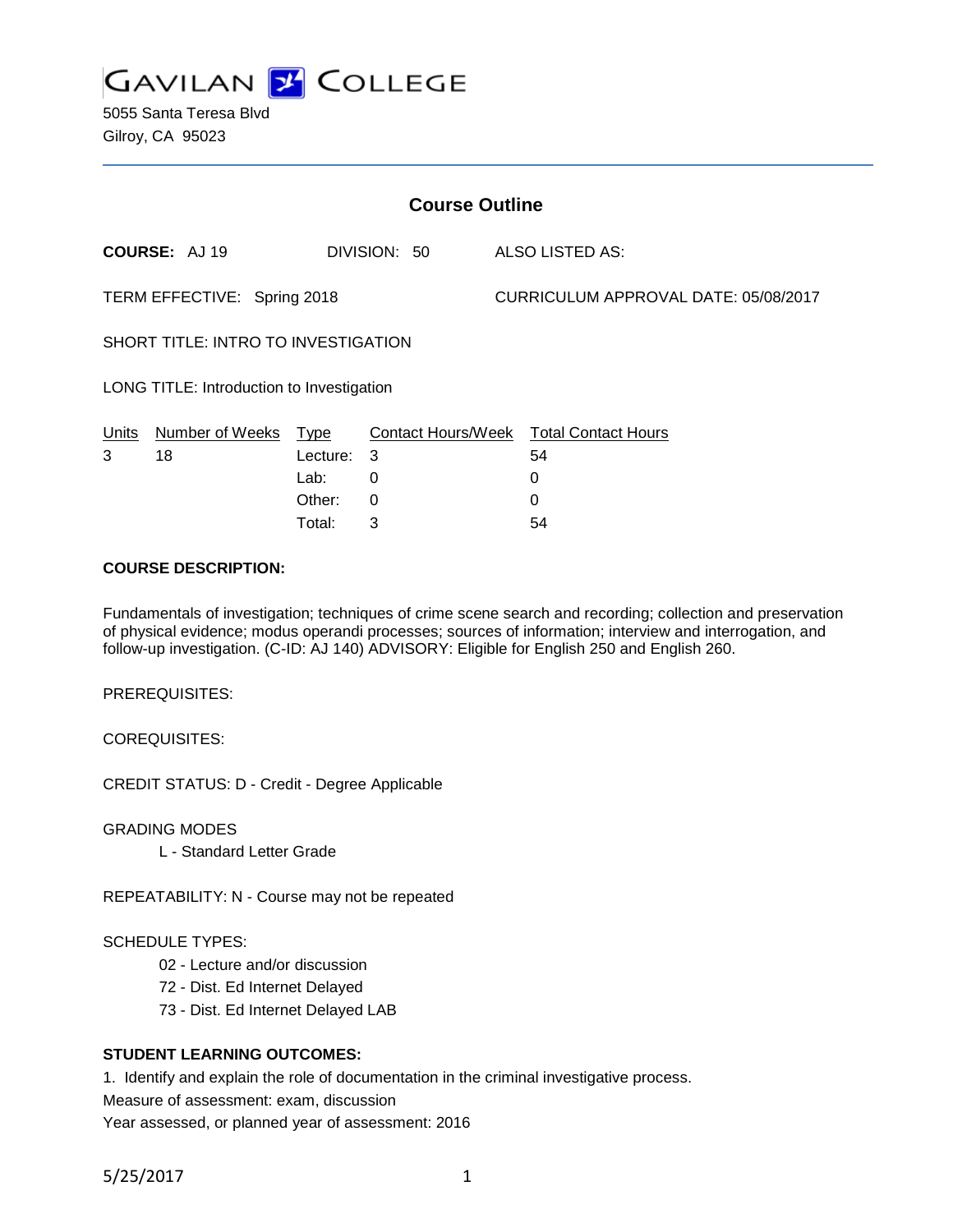

5055 Santa Teresa Blvd Gilroy, CA 95023

| <b>Course Outline</b>                     |                      |          |                           |  |                                      |  |
|-------------------------------------------|----------------------|----------|---------------------------|--|--------------------------------------|--|
|                                           | <b>COURSE: AJ 19</b> |          | DIVISION: 50              |  | <b>ALSO LISTED AS:</b>               |  |
| TERM EFFECTIVE: Spring 2018               |                      |          |                           |  | CURRICULUM APPROVAL DATE: 05/08/2017 |  |
| SHORT TITLE: INTRO TO INVESTIGATION       |                      |          |                           |  |                                      |  |
| LONG TITLE: Introduction to Investigation |                      |          |                           |  |                                      |  |
| Units                                     | Number of Weeks      | Type     | <b>Contact Hours/Week</b> |  | <b>Total Contact Hours</b>           |  |
| 3                                         | 18                   | Lecture: | 3                         |  | 54                                   |  |
|                                           |                      | Lab:     | 0                         |  | 0                                    |  |
|                                           |                      | Other:   | 0                         |  | 0                                    |  |

## **COURSE DESCRIPTION:**

Fundamentals of investigation; techniques of crime scene search and recording; collection and preservation of physical evidence; modus operandi processes; sources of information; interview and interrogation, and follow-up investigation. (C-ID: AJ 140) ADVISORY: Eligible for English 250 and English 260.

Total: 3 54

PREREQUISITES:

COREQUISITES:

CREDIT STATUS: D - Credit - Degree Applicable

GRADING MODES

L - Standard Letter Grade

REPEATABILITY: N - Course may not be repeated

### SCHEDULE TYPES:

- 02 Lecture and/or discussion
- 72 Dist. Ed Internet Delayed
- 73 Dist. Ed Internet Delayed LAB

### **STUDENT LEARNING OUTCOMES:**

1. Identify and explain the role of documentation in the criminal investigative process.

Measure of assessment: exam, discussion

Year assessed, or planned year of assessment: 2016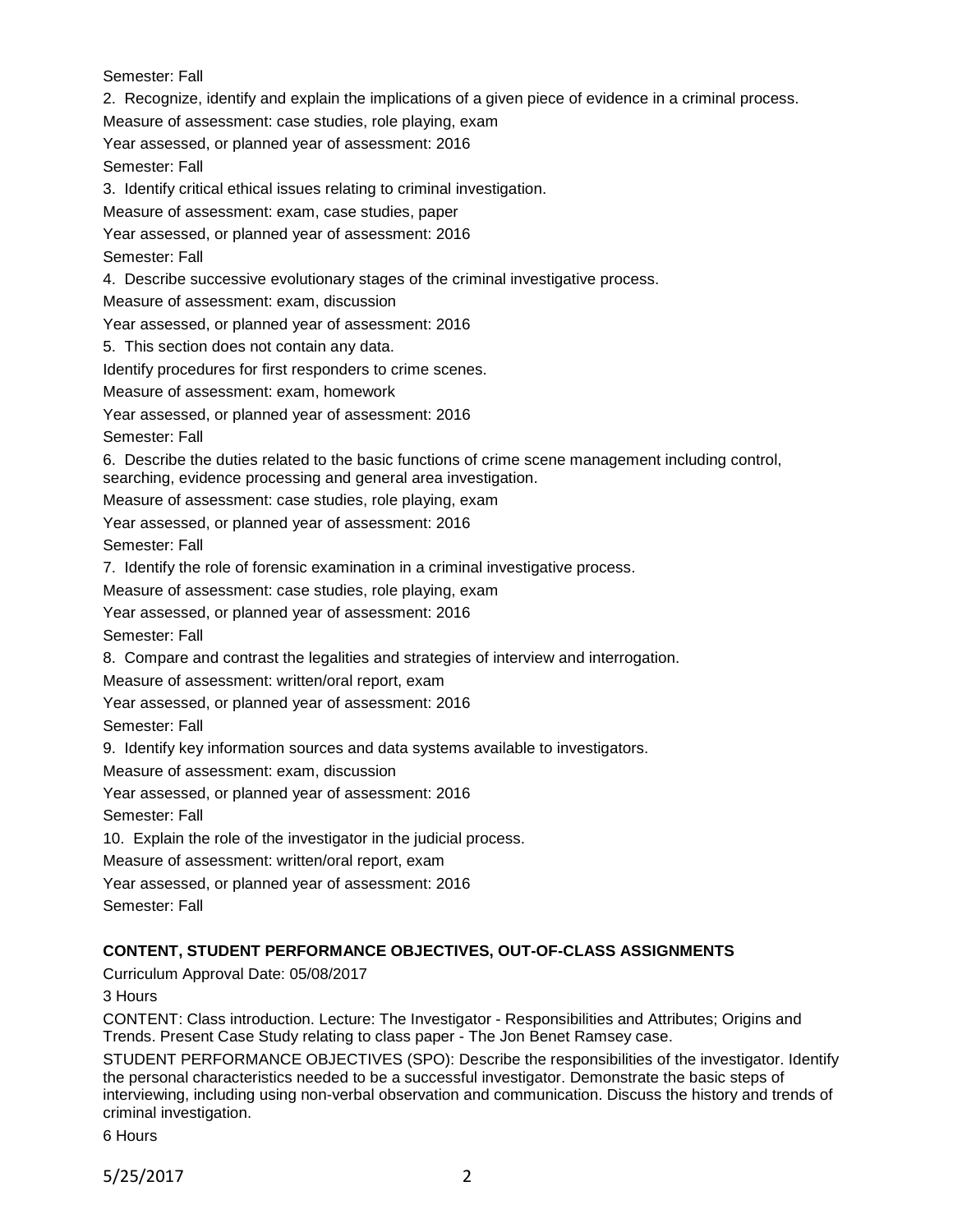Semester: Fall

2. Recognize, identify and explain the implications of a given piece of evidence in a criminal process.

Measure of assessment: case studies, role playing, exam

Year assessed, or planned year of assessment: 2016

Semester: Fall

3. Identify critical ethical issues relating to criminal investigation.

Measure of assessment: exam, case studies, paper

Year assessed, or planned year of assessment: 2016

Semester: Fall

4. Describe successive evolutionary stages of the criminal investigative process.

Measure of assessment: exam, discussion

Year assessed, or planned year of assessment: 2016

5. This section does not contain any data.

Identify procedures for first responders to crime scenes.

Measure of assessment: exam, homework

Year assessed, or planned year of assessment: 2016

Semester: Fall

6. Describe the duties related to the basic functions of crime scene management including control, searching, evidence processing and general area investigation.

Measure of assessment: case studies, role playing, exam

Year assessed, or planned year of assessment: 2016

Semester: Fall

7. Identify the role of forensic examination in a criminal investigative process.

Measure of assessment: case studies, role playing, exam

Year assessed, or planned year of assessment: 2016

Semester: Fall

8. Compare and contrast the legalities and strategies of interview and interrogation.

Measure of assessment: written/oral report, exam

Year assessed, or planned year of assessment: 2016

Semester: Fall

9. Identify key information sources and data systems available to investigators.

Measure of assessment: exam, discussion

Year assessed, or planned year of assessment: 2016

Semester: Fall

10. Explain the role of the investigator in the judicial process.

Measure of assessment: written/oral report, exam

Year assessed, or planned year of assessment: 2016

Semester: Fall

# **CONTENT, STUDENT PERFORMANCE OBJECTIVES, OUT-OF-CLASS ASSIGNMENTS**

Curriculum Approval Date: 05/08/2017

3 Hours

CONTENT: Class introduction. Lecture: The Investigator - Responsibilities and Attributes; Origins and Trends. Present Case Study relating to class paper - The Jon Benet Ramsey case.

STUDENT PERFORMANCE OBJECTIVES (SPO): Describe the responsibilities of the investigator. Identify the personal characteristics needed to be a successful investigator. Demonstrate the basic steps of interviewing, including using non-verbal observation and communication. Discuss the history and trends of criminal investigation.

6 Hours

5/25/2017 2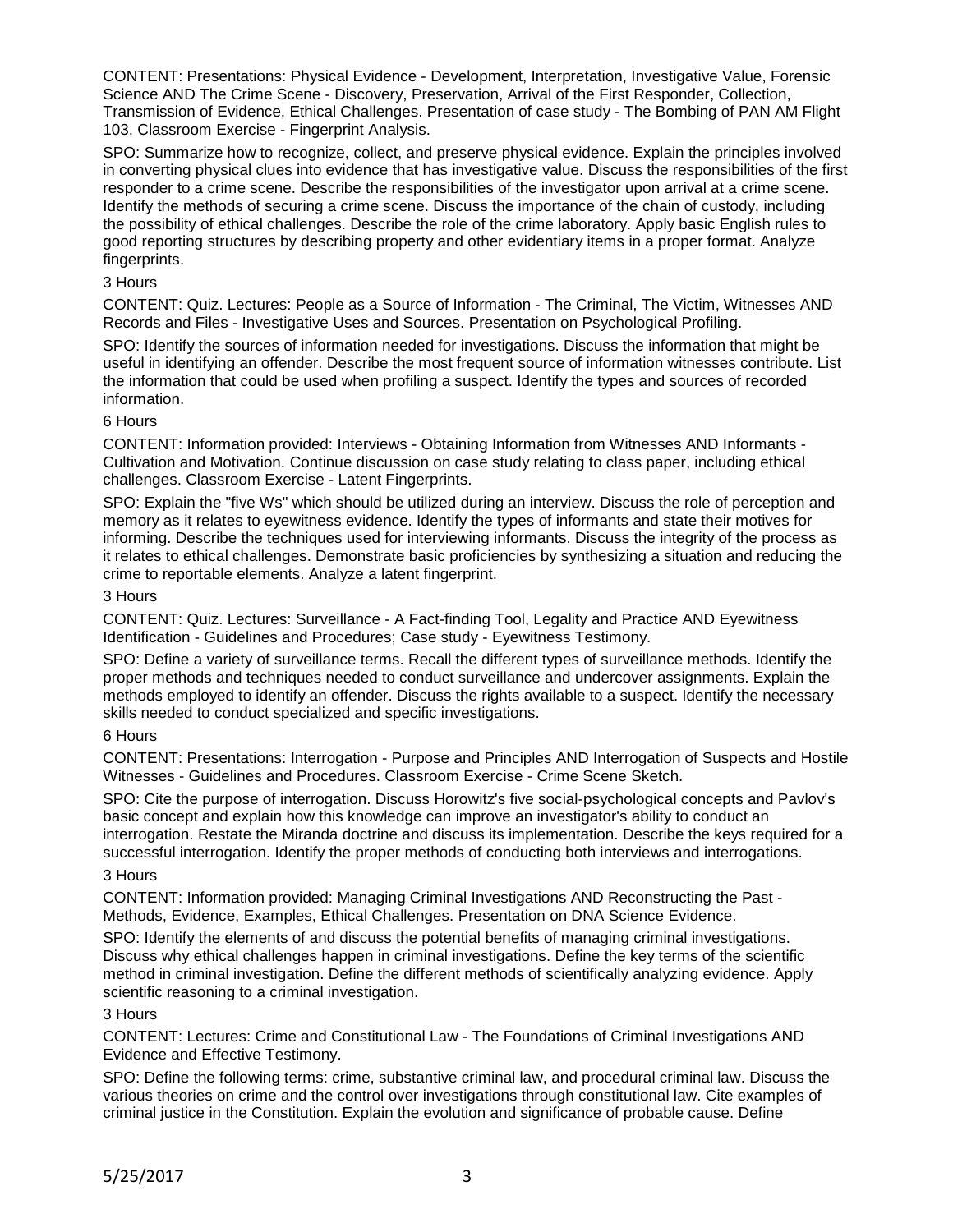CONTENT: Presentations: Physical Evidence - Development, Interpretation, Investigative Value, Forensic Science AND The Crime Scene - Discovery, Preservation, Arrival of the First Responder, Collection, Transmission of Evidence, Ethical Challenges. Presentation of case study - The Bombing of PAN AM Flight 103. Classroom Exercise - Fingerprint Analysis.

SPO: Summarize how to recognize, collect, and preserve physical evidence. Explain the principles involved in converting physical clues into evidence that has investigative value. Discuss the responsibilities of the first responder to a crime scene. Describe the responsibilities of the investigator upon arrival at a crime scene. Identify the methods of securing a crime scene. Discuss the importance of the chain of custody, including the possibility of ethical challenges. Describe the role of the crime laboratory. Apply basic English rules to good reporting structures by describing property and other evidentiary items in a proper format. Analyze fingerprints.

## 3 Hours

CONTENT: Quiz. Lectures: People as a Source of Information - The Criminal, The Victim, Witnesses AND Records and Files - Investigative Uses and Sources. Presentation on Psychological Profiling.

SPO: Identify the sources of information needed for investigations. Discuss the information that might be useful in identifying an offender. Describe the most frequent source of information witnesses contribute. List the information that could be used when profiling a suspect. Identify the types and sources of recorded information.

### 6 Hours

CONTENT: Information provided: Interviews - Obtaining Information from Witnesses AND Informants - Cultivation and Motivation. Continue discussion on case study relating to class paper, including ethical challenges. Classroom Exercise - Latent Fingerprints.

SPO: Explain the "five Ws" which should be utilized during an interview. Discuss the role of perception and memory as it relates to eyewitness evidence. Identify the types of informants and state their motives for informing. Describe the techniques used for interviewing informants. Discuss the integrity of the process as it relates to ethical challenges. Demonstrate basic proficiencies by synthesizing a situation and reducing the crime to reportable elements. Analyze a latent fingerprint.

## 3 Hours

CONTENT: Quiz. Lectures: Surveillance - A Fact-finding Tool, Legality and Practice AND Eyewitness Identification - Guidelines and Procedures; Case study - Eyewitness Testimony.

SPO: Define a variety of surveillance terms. Recall the different types of surveillance methods. Identify the proper methods and techniques needed to conduct surveillance and undercover assignments. Explain the methods employed to identify an offender. Discuss the rights available to a suspect. Identify the necessary skills needed to conduct specialized and specific investigations.

## 6 Hours

CONTENT: Presentations: Interrogation - Purpose and Principles AND Interrogation of Suspects and Hostile Witnesses - Guidelines and Procedures. Classroom Exercise - Crime Scene Sketch.

SPO: Cite the purpose of interrogation. Discuss Horowitz's five social-psychological concepts and Pavlov's basic concept and explain how this knowledge can improve an investigator's ability to conduct an interrogation. Restate the Miranda doctrine and discuss its implementation. Describe the keys required for a successful interrogation. Identify the proper methods of conducting both interviews and interrogations.

### 3 Hours

CONTENT: Information provided: Managing Criminal Investigations AND Reconstructing the Past - Methods, Evidence, Examples, Ethical Challenges. Presentation on DNA Science Evidence.

SPO: Identify the elements of and discuss the potential benefits of managing criminal investigations. Discuss why ethical challenges happen in criminal investigations. Define the key terms of the scientific method in criminal investigation. Define the different methods of scientifically analyzing evidence. Apply scientific reasoning to a criminal investigation.

### 3 Hours

CONTENT: Lectures: Crime and Constitutional Law - The Foundations of Criminal Investigations AND Evidence and Effective Testimony.

SPO: Define the following terms: crime, substantive criminal law, and procedural criminal law. Discuss the various theories on crime and the control over investigations through constitutional law. Cite examples of criminal justice in the Constitution. Explain the evolution and significance of probable cause. Define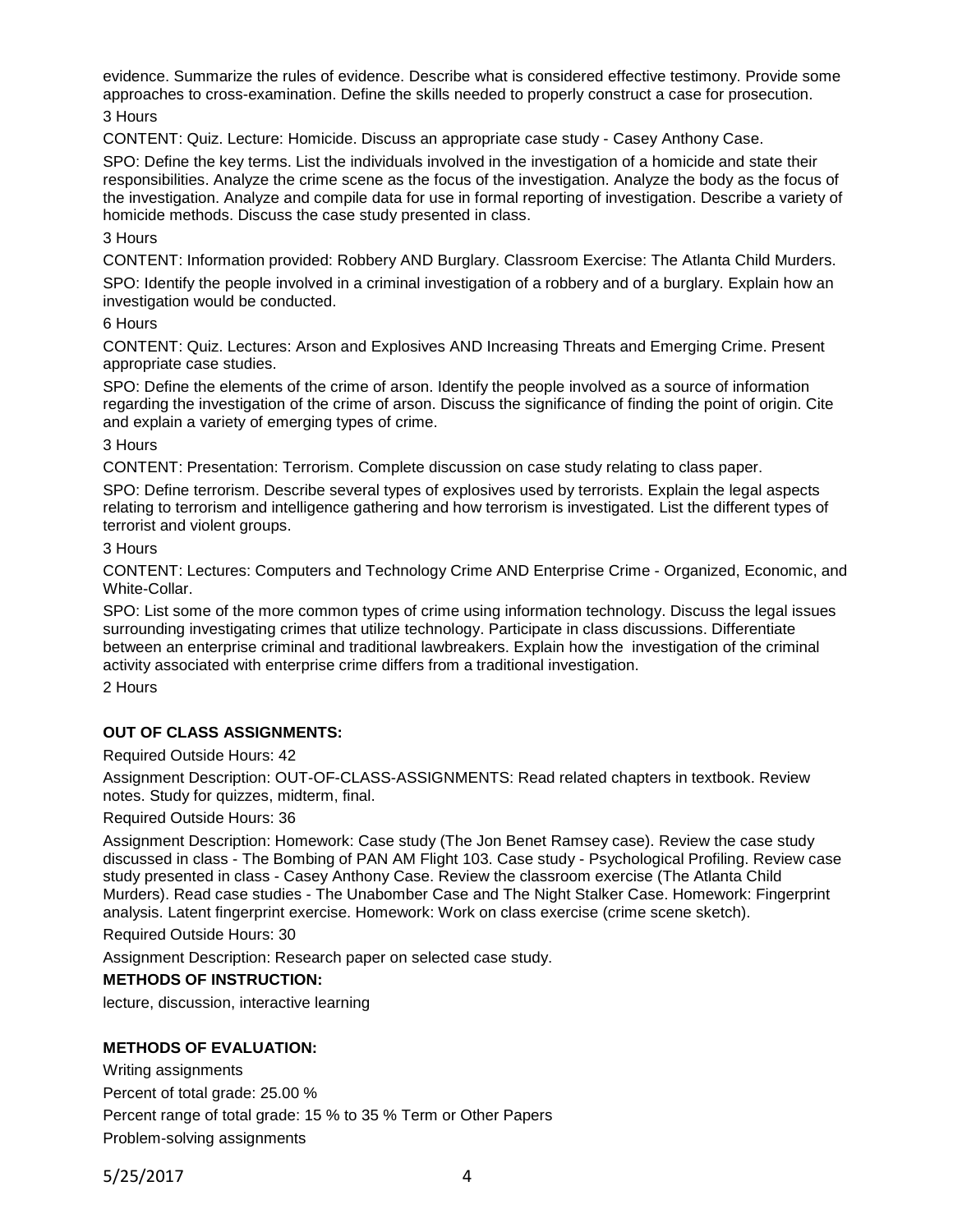evidence. Summarize the rules of evidence. Describe what is considered effective testimony. Provide some approaches to cross-examination. Define the skills needed to properly construct a case for prosecution.

3 Hours

CONTENT: Quiz. Lecture: Homicide. Discuss an appropriate case study - Casey Anthony Case.

SPO: Define the key terms. List the individuals involved in the investigation of a homicide and state their responsibilities. Analyze the crime scene as the focus of the investigation. Analyze the body as the focus of the investigation. Analyze and compile data for use in formal reporting of investigation. Describe a variety of homicide methods. Discuss the case study presented in class.

## 3 Hours

CONTENT: Information provided: Robbery AND Burglary. Classroom Exercise: The Atlanta Child Murders. SPO: Identify the people involved in a criminal investigation of a robbery and of a burglary. Explain how an investigation would be conducted.

## 6 Hours

CONTENT: Quiz. Lectures: Arson and Explosives AND Increasing Threats and Emerging Crime. Present appropriate case studies.

SPO: Define the elements of the crime of arson. Identify the people involved as a source of information regarding the investigation of the crime of arson. Discuss the significance of finding the point of origin. Cite and explain a variety of emerging types of crime.

### 3 Hours

CONTENT: Presentation: Terrorism. Complete discussion on case study relating to class paper.

SPO: Define terrorism. Describe several types of explosives used by terrorists. Explain the legal aspects relating to terrorism and intelligence gathering and how terrorism is investigated. List the different types of terrorist and violent groups.

## 3 Hours

CONTENT: Lectures: Computers and Technology Crime AND Enterprise Crime - Organized, Economic, and White-Collar.

SPO: List some of the more common types of crime using information technology. Discuss the legal issues surrounding investigating crimes that utilize technology. Participate in class discussions. Differentiate between an enterprise criminal and traditional lawbreakers. Explain how the investigation of the criminal activity associated with enterprise crime differs from a traditional investigation.

2 Hours

## **OUT OF CLASS ASSIGNMENTS:**

Required Outside Hours: 42

Assignment Description: OUT-OF-CLASS-ASSIGNMENTS: Read related chapters in textbook. Review notes. Study for quizzes, midterm, final.

### Required Outside Hours: 36

Assignment Description: Homework: Case study (The Jon Benet Ramsey case). Review the case study discussed in class - The Bombing of PAN AM Flight 103. Case study - Psychological Profiling. Review case study presented in class - Casey Anthony Case. Review the classroom exercise (The Atlanta Child Murders). Read case studies - The Unabomber Case and The Night Stalker Case. Homework: Fingerprint analysis. Latent fingerprint exercise. Homework: Work on class exercise (crime scene sketch).

Required Outside Hours: 30

Assignment Description: Research paper on selected case study.

## **METHODS OF INSTRUCTION:**

lecture, discussion, interactive learning

## **METHODS OF EVALUATION:**

Writing assignments Percent of total grade: 25.00 % Percent range of total grade: 15 % to 35 % Term or Other Papers Problem-solving assignments

5/25/2017 4